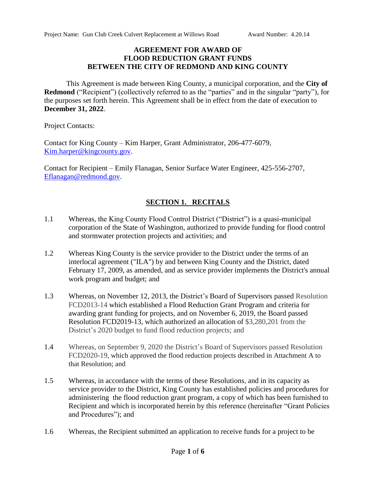#### **AGREEMENT FOR AWARD OF FLOOD REDUCTION GRANT FUNDS BETWEEN THE CITY OF REDMOND AND KING COUNTY**

This Agreement is made between King County, a municipal corporation, and the **City of Redmond** ("Recipient") (collectively referred to as the "parties" and in the singular "party"), for the purposes set forth herein. This Agreement shall be in effect from the date of execution to **December 31, 2022**.

Project Contacts:

Contact for King County – Kim Harper, Grant Administrator, 206-477-6079, [Kim.harper@kingcounty.gov.](mailto:Kim.harper@kingcounty.gov)

Contact for Recipient – Emily Flanagan, Senior Surface Water Engineer, 425-556-2707, [Eflanagan@redmond.gov.](mailto:Eflanagan@redmond.gov)

## **SECTION 1. RECITALS**

- 1.1 Whereas, the King County Flood Control District ("District") is a quasi-municipal corporation of the State of Washington, authorized to provide funding for flood control and stormwater protection projects and activities; and
- 1.2 Whereas King County is the service provider to the District under the terms of an interlocal agreement ("ILA") by and between King County and the District, dated February 17, 2009, as amended, and as service provider implements the District's annual work program and budget; and
- 1.3 Whereas, on November 12, 2013, the District's Board of Supervisors passed Resolution FCD2013-14 which established a Flood Reduction Grant Program and criteria for awarding grant funding for projects, and on November 6, 2019, the Board passed Resolution FCD2019-13, which authorized an allocation of \$3,280,201 from the District's 2020 budget to fund flood reduction projects; and
- 1.4 Whereas, on September 9, 2020 the District's Board of Supervisors passed Resolution FCD2020-19, which approved the flood reduction projects described in Attachment A to that Resolution; and
- 1.5 Whereas, in accordance with the terms of these Resolutions, and in its capacity as service provider to the District, King County has established policies and procedures for administering the flood reduction grant program, a copy of which has been furnished to Recipient and which is incorporated herein by this reference (hereinafter "Grant Policies and Procedures"); and
- 1.6 Whereas, the Recipient submitted an application to receive funds for a project to be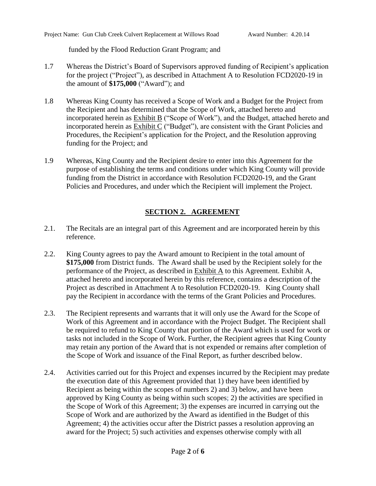funded by the Flood Reduction Grant Program; and

- 1.7 Whereas the District's Board of Supervisors approved funding of Recipient's application for the project ("Project"), as described in Attachment A to Resolution FCD2020-19 in the amount of **\$175,000** ("Award"); and
- 1.8 Whereas King County has received a Scope of Work and a Budget for the Project from the Recipient and has determined that the Scope of Work, attached hereto and incorporated herein as Exhibit B ("Scope of Work"), and the Budget, attached hereto and incorporated herein as  $Exhibit C$  ("Budget"), are consistent with the Grant Policies and Procedures, the Recipient's application for the Project, and the Resolution approving funding for the Project; and
- 1.9 Whereas, King County and the Recipient desire to enter into this Agreement for the purpose of establishing the terms and conditions under which King County will provide funding from the District in accordance with Resolution FCD2020-19, and the Grant Policies and Procedures, and under which the Recipient will implement the Project.

# **SECTION 2. AGREEMENT**

- 2.1. The Recitals are an integral part of this Agreement and are incorporated herein by this reference.
- 2.2. King County agrees to pay the Award amount to Recipient in the total amount of **\$175,000** from District funds. The Award shall be used by the Recipient solely for the performance of the Project, as described in Exhibit A to this Agreement. Exhibit A, attached hereto and incorporated herein by this reference, contains a description of the Project as described in Attachment A to Resolution FCD2020-19. King County shall pay the Recipient in accordance with the terms of the Grant Policies and Procedures.
- 2.3. The Recipient represents and warrants that it will only use the Award for the Scope of Work of this Agreement and in accordance with the Project Budget. The Recipient shall be required to refund to King County that portion of the Award which is used for work or tasks not included in the Scope of Work. Further, the Recipient agrees that King County may retain any portion of the Award that is not expended or remains after completion of the Scope of Work and issuance of the Final Report, as further described below.
- 2.4. Activities carried out for this Project and expenses incurred by the Recipient may predate the execution date of this Agreement provided that 1) they have been identified by Recipient as being within the scopes of numbers 2) and 3) below, and have been approved by King County as being within such scopes; 2) the activities are specified in the Scope of Work of this Agreement; 3) the expenses are incurred in carrying out the Scope of Work and are authorized by the Award as identified in the Budget of this Agreement; 4) the activities occur after the District passes a resolution approving an award for the Project; 5) such activities and expenses otherwise comply with all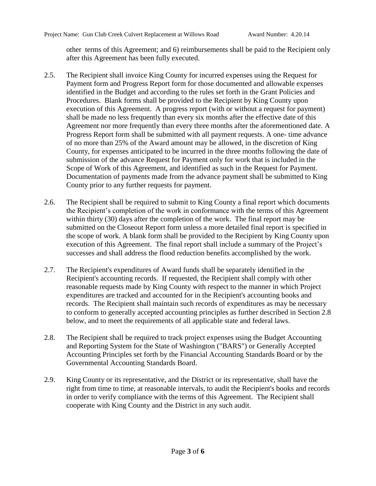other terms of this Agreement; and 6) reimbursements shall be paid to the Recipient only after this Agreement has been fully executed.

- 2.5. The Recipient shall invoice King County for incurred expenses using the Request for Payment form and Progress Report form for those documented and allowable expenses identified in the Budget and according to the rules set forth in the Grant Policies and Procedures. Blank forms shall be provided to the Recipient by King County upon execution of this Agreement. A progress report (with or without a request for payment) shall be made no less frequently than every six months after the effective date of this Agreement nor more frequently than every three months after the aforementioned date. A Progress Report form shall be submitted with all payment requests. A one- time advance of no more than 25% of the Award amount may be allowed, in the discretion of King County, for expenses anticipated to be incurred in the three months following the date of submission of the advance Request for Payment only for work that is included in the Scope of Work of this Agreement, and identified as such in the Request for Payment. Documentation of payments made from the advance payment shall be submitted to King County prior to any further requests for payment.
- 2.6. The Recipient shall be required to submit to King County a final report which documents the Recipient's completion of the work in conformance with the terms of this Agreement within thirty (30) days after the completion of the work. The final report may be submitted on the Closeout Report form unless a more detailed final report is specified in the scope of work. A blank form shall be provided to the Recipient by King County upon execution of this Agreement. The final report shall include a summary of the Project's successes and shall address the flood reduction benefits accomplished by the work.
- 2.7. The Recipient's expenditures of Award funds shall be separately identified in the Recipient's accounting records. If requested, the Recipient shall comply with other reasonable requests made by King County with respect to the manner in which Project expenditures are tracked and accounted for in the Recipient's accounting books and records. The Recipient shall maintain such records of expenditures as may be necessary to conform to generally accepted accounting principles as further described in Section 2.8 below, and to meet the requirements of all applicable state and federal laws.
- 2.8. The Recipient shall be required to track project expenses using the Budget Accounting and Reporting System for the State of Washington ("BARS") or Generally Accepted Accounting Principles set forth by the Financial Accounting Standards Board or by the Governmental Accounting Standards Board.
- 2.9. King County or its representative, and the District or its representative, shall have the right from time to time, at reasonable intervals, to audit the Recipient's books and records in order to verify compliance with the terms of this Agreement. The Recipient shall cooperate with King County and the District in any such audit.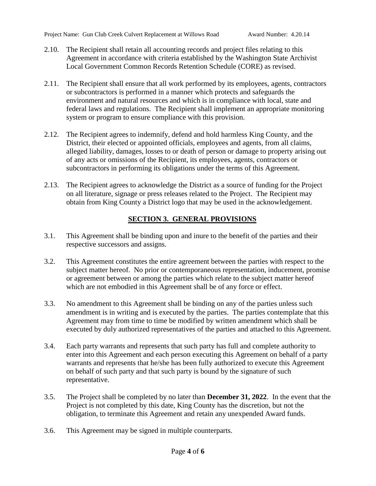- 2.10. The Recipient shall retain all accounting records and project files relating to this Agreement in accordance with criteria established by the Washington State Archivist Local Government Common Records Retention Schedule (CORE) as revised.
- 2.11. The Recipient shall ensure that all work performed by its employees, agents, contractors or subcontractors is performed in a manner which protects and safeguards the environment and natural resources and which is in compliance with local, state and federal laws and regulations. The Recipient shall implement an appropriate monitoring system or program to ensure compliance with this provision.
- 2.12. The Recipient agrees to indemnify, defend and hold harmless King County, and the District, their elected or appointed officials, employees and agents, from all claims, alleged liability, damages, losses to or death of person or damage to property arising out of any acts or omissions of the Recipient, its employees, agents, contractors or subcontractors in performing its obligations under the terms of this Agreement.
- 2.13. The Recipient agrees to acknowledge the District as a source of funding for the Project on all literature, signage or press releases related to the Project. The Recipient may obtain from King County a District logo that may be used in the acknowledgement.

# **SECTION 3. GENERAL PROVISIONS**

- 3.1. This Agreement shall be binding upon and inure to the benefit of the parties and their respective successors and assigns.
- 3.2. This Agreement constitutes the entire agreement between the parties with respect to the subject matter hereof. No prior or contemporaneous representation, inducement, promise or agreement between or among the parties which relate to the subject matter hereof which are not embodied in this Agreement shall be of any force or effect.
- 3.3. No amendment to this Agreement shall be binding on any of the parties unless such amendment is in writing and is executed by the parties. The parties contemplate that this Agreement may from time to time be modified by written amendment which shall be executed by duly authorized representatives of the parties and attached to this Agreement.
- 3.4. Each party warrants and represents that such party has full and complete authority to enter into this Agreement and each person executing this Agreement on behalf of a party warrants and represents that he/she has been fully authorized to execute this Agreement on behalf of such party and that such party is bound by the signature of such representative.
- 3.5. The Project shall be completed by no later than **December 31, 2022**. In the event that the Project is not completed by this date, King County has the discretion, but not the obligation, to terminate this Agreement and retain any unexpended Award funds.
- 3.6. This Agreement may be signed in multiple counterparts.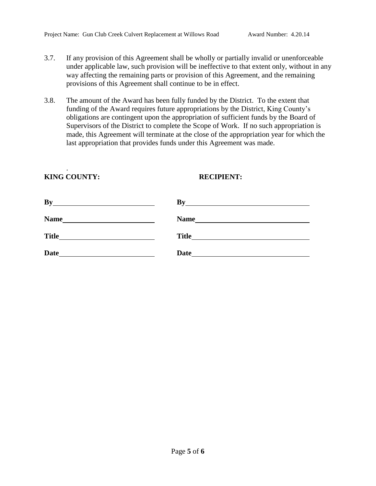- 3.7. If any provision of this Agreement shall be wholly or partially invalid or unenforceable under applicable law, such provision will be ineffective to that extent only, without in any way affecting the remaining parts or provision of this Agreement, and the remaining provisions of this Agreement shall continue to be in effect.
- 3.8. The amount of the Award has been fully funded by the District. To the extent that funding of the Award requires future appropriations by the District, King County's obligations are contingent upon the appropriation of sufficient funds by the Board of Supervisors of the District to complete the Scope of Work. If no such appropriation is made, this Agreement will terminate at the close of the appropriation year for which the last appropriation that provides funds under this Agreement was made.

## **KING COUNTY: RECIPIENT:**

.

| By           | Bv                                                                                             |
|--------------|------------------------------------------------------------------------------------------------|
| Name         | <b>Name</b><br>the contract of the contract of the contract of the contract of the contract of |
| <b>Title</b> | <b>Title</b>                                                                                   |
| <b>Date</b>  | <b>Date</b>                                                                                    |